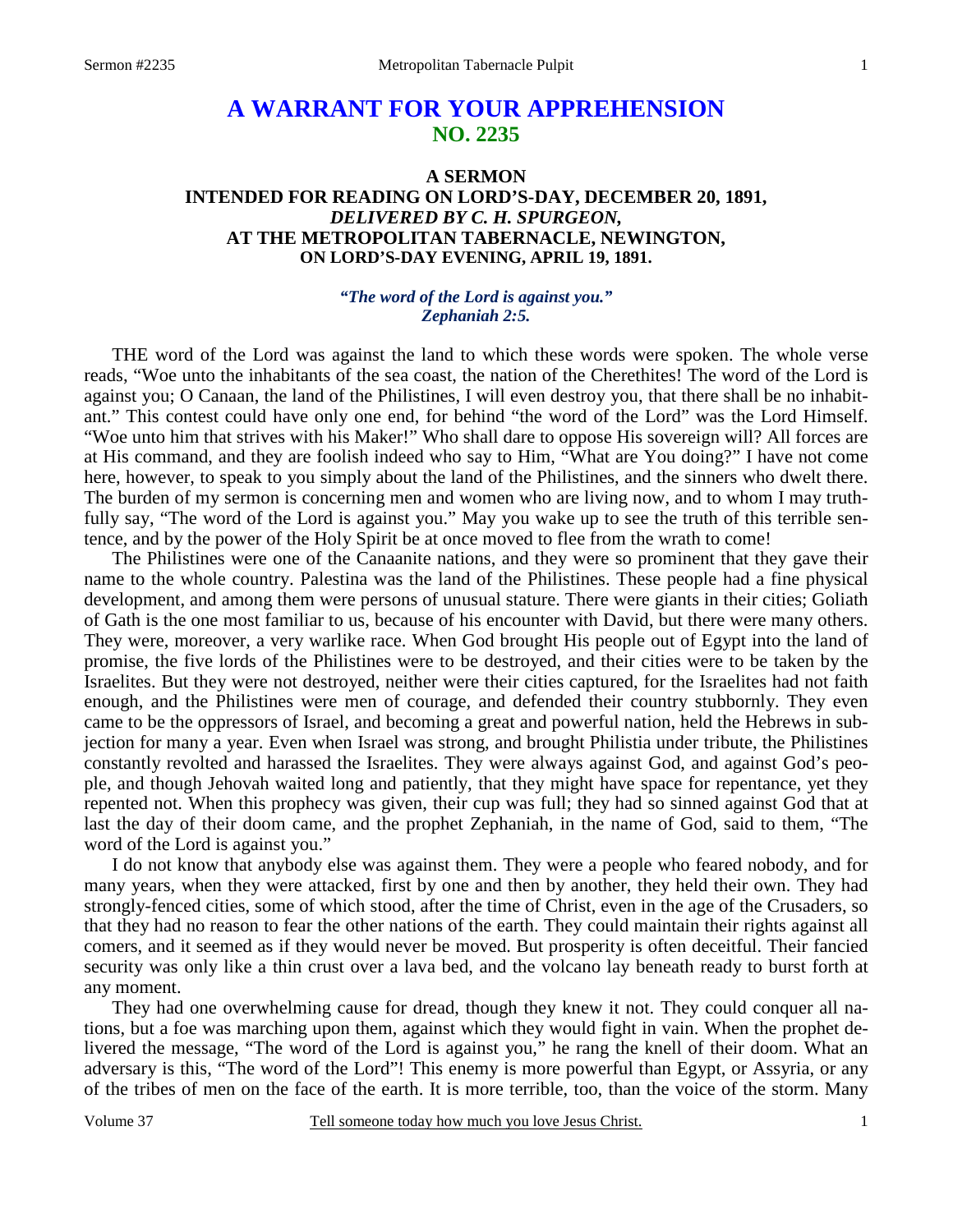# **A WARRANT FOR YOUR APPREHENSION NO. 2235**

### **A SERMON INTENDED FOR READING ON LORD'S-DAY, DECEMBER 20, 1891,**  *DELIVERED BY C. H. SPURGEON,*  **AT THE METROPOLITAN TABERNACLE, NEWINGTON, ON LORD'S-DAY EVENING, APRIL 19, 1891.**

#### *"The word of the Lord is against you." Zephaniah 2:5.*

THE word of the Lord was against the land to which these words were spoken. The whole verse reads, "Woe unto the inhabitants of the sea coast, the nation of the Cherethites! The word of the Lord is against you; O Canaan, the land of the Philistines, I will even destroy you, that there shall be no inhabitant." This contest could have only one end, for behind "the word of the Lord" was the Lord Himself. "Woe unto him that strives with his Maker!" Who shall dare to oppose His sovereign will? All forces are at His command, and they are foolish indeed who say to Him, "What are You doing?" I have not come here, however, to speak to you simply about the land of the Philistines, and the sinners who dwelt there. The burden of my sermon is concerning men and women who are living now, and to whom I may truthfully say, "The word of the Lord is against you." May you wake up to see the truth of this terrible sentence, and by the power of the Holy Spirit be at once moved to flee from the wrath to come!

 The Philistines were one of the Canaanite nations, and they were so prominent that they gave their name to the whole country. Palestina was the land of the Philistines. These people had a fine physical development, and among them were persons of unusual stature. There were giants in their cities; Goliath of Gath is the one most familiar to us, because of his encounter with David, but there were many others. They were, moreover, a very warlike race. When God brought His people out of Egypt into the land of promise, the five lords of the Philistines were to be destroyed, and their cities were to be taken by the Israelites. But they were not destroyed, neither were their cities captured, for the Israelites had not faith enough, and the Philistines were men of courage, and defended their country stubbornly. They even came to be the oppressors of Israel, and becoming a great and powerful nation, held the Hebrews in subjection for many a year. Even when Israel was strong, and brought Philistia under tribute, the Philistines constantly revolted and harassed the Israelites. They were always against God, and against God's people, and though Jehovah waited long and patiently, that they might have space for repentance, yet they repented not. When this prophecy was given, their cup was full; they had so sinned against God that at last the day of their doom came, and the prophet Zephaniah, in the name of God, said to them, "The word of the Lord is against you."

 I do not know that anybody else was against them. They were a people who feared nobody, and for many years, when they were attacked, first by one and then by another, they held their own. They had strongly-fenced cities, some of which stood, after the time of Christ, even in the age of the Crusaders, so that they had no reason to fear the other nations of the earth. They could maintain their rights against all comers, and it seemed as if they would never be moved. But prosperity is often deceitful. Their fancied security was only like a thin crust over a lava bed, and the volcano lay beneath ready to burst forth at any moment.

 They had one overwhelming cause for dread, though they knew it not. They could conquer all nations, but a foe was marching upon them, against which they would fight in vain. When the prophet delivered the message, "The word of the Lord is against you," he rang the knell of their doom. What an adversary is this, "The word of the Lord"! This enemy is more powerful than Egypt, or Assyria, or any of the tribes of men on the face of the earth. It is more terrible, too, than the voice of the storm. Many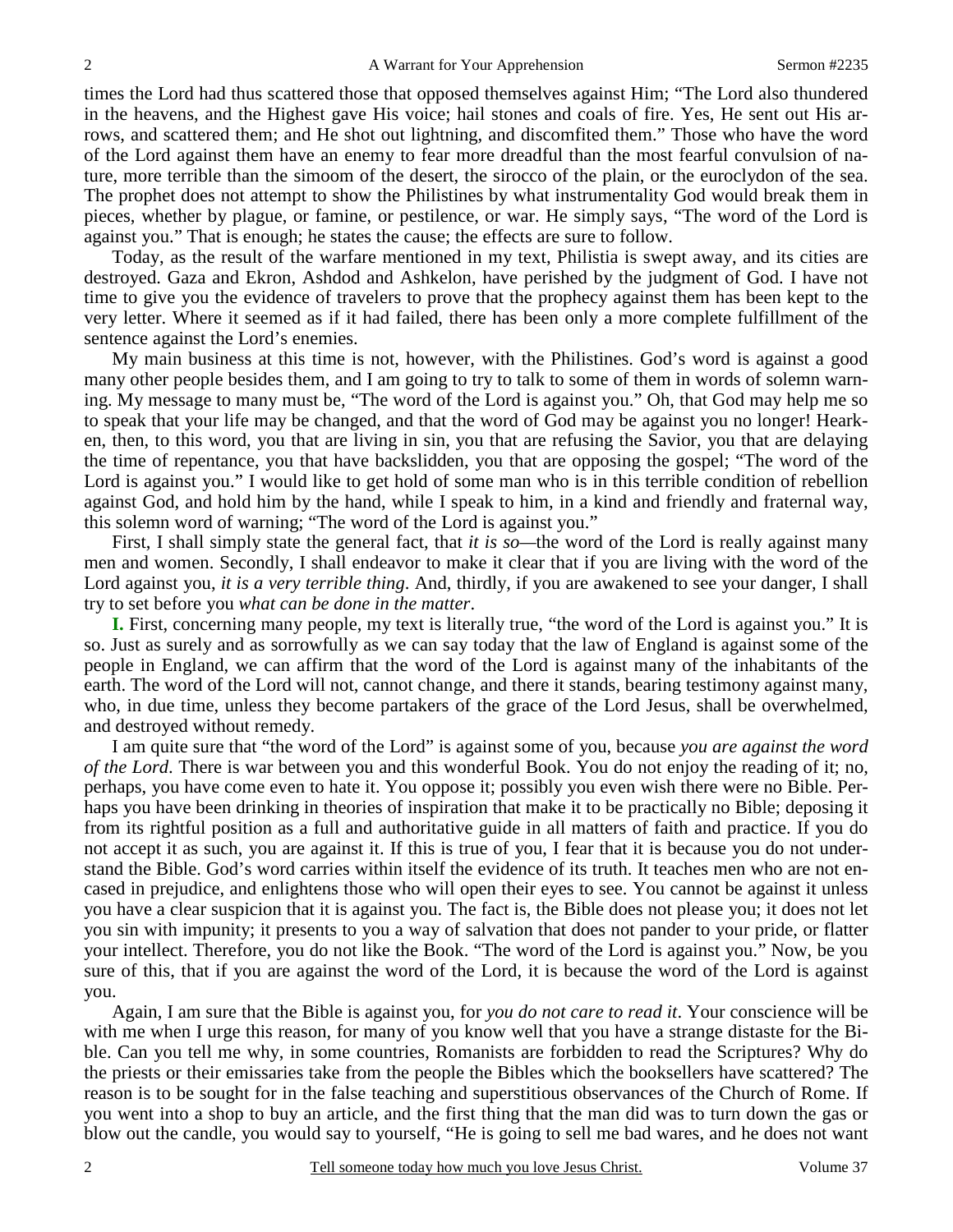times the Lord had thus scattered those that opposed themselves against Him; "The Lord also thundered in the heavens, and the Highest gave His voice; hail stones and coals of fire. Yes, He sent out His arrows, and scattered them; and He shot out lightning, and discomfited them." Those who have the word of the Lord against them have an enemy to fear more dreadful than the most fearful convulsion of nature, more terrible than the simoom of the desert, the sirocco of the plain, or the euroclydon of the sea. The prophet does not attempt to show the Philistines by what instrumentality God would break them in pieces, whether by plague, or famine, or pestilence, or war. He simply says, "The word of the Lord is against you." That is enough; he states the cause; the effects are sure to follow.

 Today, as the result of the warfare mentioned in my text, Philistia is swept away, and its cities are destroyed. Gaza and Ekron, Ashdod and Ashkelon, have perished by the judgment of God. I have not time to give you the evidence of travelers to prove that the prophecy against them has been kept to the very letter. Where it seemed as if it had failed, there has been only a more complete fulfillment of the sentence against the Lord's enemies.

 My main business at this time is not, however, with the Philistines. God's word is against a good many other people besides them, and I am going to try to talk to some of them in words of solemn warning. My message to many must be, "The word of the Lord is against you." Oh, that God may help me so to speak that your life may be changed, and that the word of God may be against you no longer! Hearken, then, to this word, you that are living in sin, you that are refusing the Savior, you that are delaying the time of repentance, you that have backslidden, you that are opposing the gospel; "The word of the Lord is against you." I would like to get hold of some man who is in this terrible condition of rebellion against God, and hold him by the hand, while I speak to him, in a kind and friendly and fraternal way, this solemn word of warning; "The word of the Lord is against you."

 First, I shall simply state the general fact, that *it is so—*the word of the Lord is really against many men and women. Secondly, I shall endeavor to make it clear that if you are living with the word of the Lord against you, *it is a very terrible thing*. And, thirdly, if you are awakened to see your danger, I shall try to set before you *what can be done in the matter*.

**I.** First, concerning many people, my text is literally true, "the word of the Lord is against you." It is so. Just as surely and as sorrowfully as we can say today that the law of England is against some of the people in England, we can affirm that the word of the Lord is against many of the inhabitants of the earth. The word of the Lord will not, cannot change, and there it stands, bearing testimony against many, who, in due time, unless they become partakers of the grace of the Lord Jesus, shall be overwhelmed, and destroyed without remedy.

 I am quite sure that "the word of the Lord" is against some of you, because *you are against the word of the Lord*. There is war between you and this wonderful Book. You do not enjoy the reading of it; no, perhaps, you have come even to hate it. You oppose it; possibly you even wish there were no Bible. Perhaps you have been drinking in theories of inspiration that make it to be practically no Bible; deposing it from its rightful position as a full and authoritative guide in all matters of faith and practice. If you do not accept it as such, you are against it. If this is true of you, I fear that it is because you do not understand the Bible. God's word carries within itself the evidence of its truth. It teaches men who are not encased in prejudice, and enlightens those who will open their eyes to see. You cannot be against it unless you have a clear suspicion that it is against you. The fact is, the Bible does not please you; it does not let you sin with impunity; it presents to you a way of salvation that does not pander to your pride, or flatter your intellect. Therefore, you do not like the Book. "The word of the Lord is against you." Now, be you sure of this, that if you are against the word of the Lord, it is because the word of the Lord is against you.

 Again, I am sure that the Bible is against you, for *you do not care to read it*. Your conscience will be with me when I urge this reason, for many of you know well that you have a strange distaste for the Bible. Can you tell me why, in some countries, Romanists are forbidden to read the Scriptures? Why do the priests or their emissaries take from the people the Bibles which the booksellers have scattered? The reason is to be sought for in the false teaching and superstitious observances of the Church of Rome. If you went into a shop to buy an article, and the first thing that the man did was to turn down the gas or blow out the candle, you would say to yourself, "He is going to sell me bad wares, and he does not want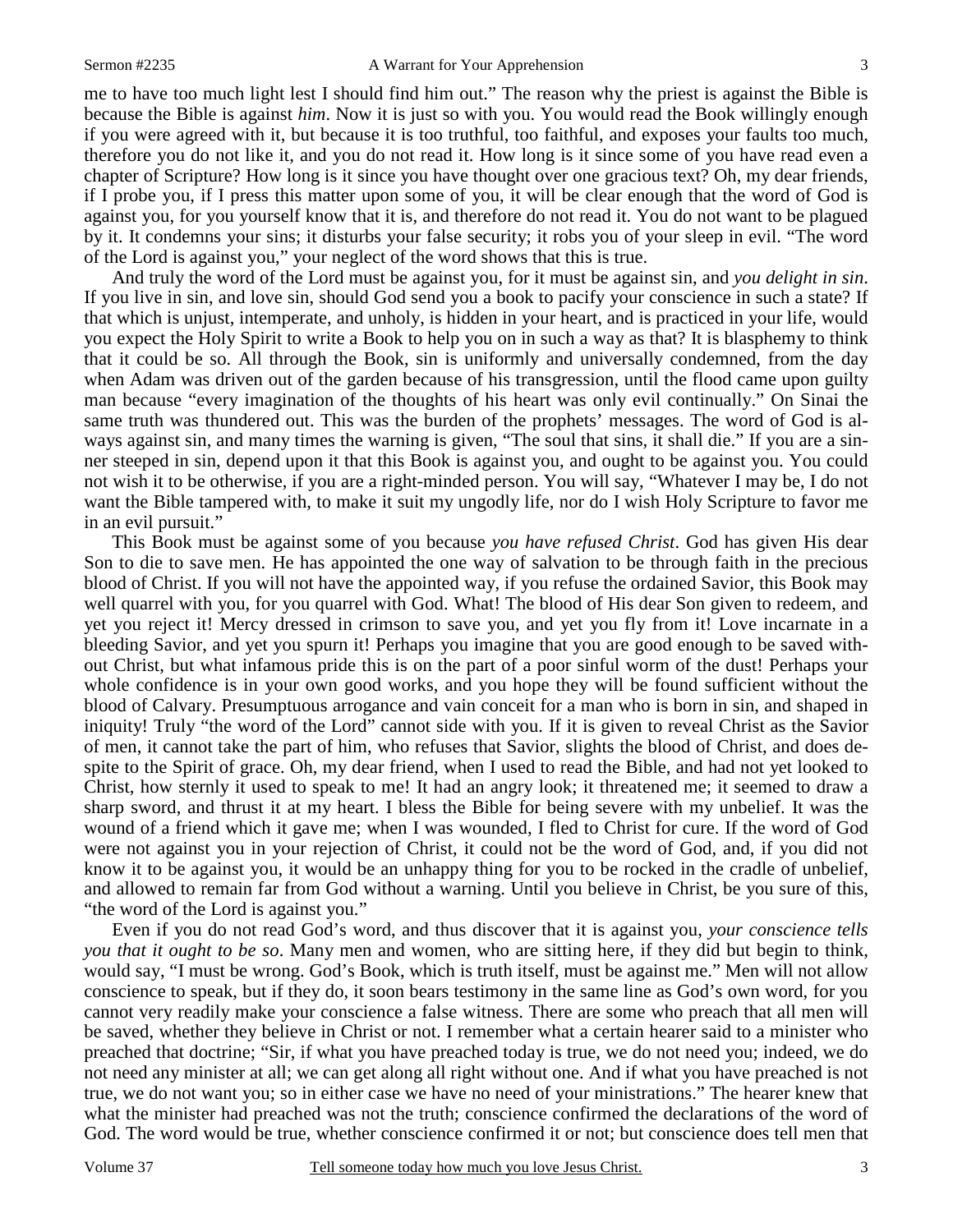me to have too much light lest I should find him out." The reason why the priest is against the Bible is because the Bible is against *him*. Now it is just so with you. You would read the Book willingly enough if you were agreed with it, but because it is too truthful, too faithful, and exposes your faults too much, therefore you do not like it, and you do not read it. How long is it since some of you have read even a chapter of Scripture? How long is it since you have thought over one gracious text? Oh, my dear friends, if I probe you, if I press this matter upon some of you, it will be clear enough that the word of God is against you, for you yourself know that it is, and therefore do not read it. You do not want to be plagued by it. It condemns your sins; it disturbs your false security; it robs you of your sleep in evil. "The word of the Lord is against you," your neglect of the word shows that this is true.

 And truly the word of the Lord must be against you, for it must be against sin, and *you delight in sin*. If you live in sin, and love sin, should God send you a book to pacify your conscience in such a state? If that which is unjust, intemperate, and unholy, is hidden in your heart, and is practiced in your life, would you expect the Holy Spirit to write a Book to help you on in such a way as that? It is blasphemy to think that it could be so. All through the Book, sin is uniformly and universally condemned, from the day when Adam was driven out of the garden because of his transgression, until the flood came upon guilty man because "every imagination of the thoughts of his heart was only evil continually." On Sinai the same truth was thundered out. This was the burden of the prophets' messages. The word of God is always against sin, and many times the warning is given, "The soul that sins, it shall die." If you are a sinner steeped in sin, depend upon it that this Book is against you, and ought to be against you. You could not wish it to be otherwise, if you are a right-minded person. You will say, "Whatever I may be, I do not want the Bible tampered with, to make it suit my ungodly life, nor do I wish Holy Scripture to favor me in an evil pursuit."

 This Book must be against some of you because *you have refused Christ*. God has given His dear Son to die to save men. He has appointed the one way of salvation to be through faith in the precious blood of Christ. If you will not have the appointed way, if you refuse the ordained Savior, this Book may well quarrel with you, for you quarrel with God. What! The blood of His dear Son given to redeem, and yet you reject it! Mercy dressed in crimson to save you, and yet you fly from it! Love incarnate in a bleeding Savior, and yet you spurn it! Perhaps you imagine that you are good enough to be saved without Christ, but what infamous pride this is on the part of a poor sinful worm of the dust! Perhaps your whole confidence is in your own good works, and you hope they will be found sufficient without the blood of Calvary. Presumptuous arrogance and vain conceit for a man who is born in sin, and shaped in iniquity! Truly "the word of the Lord" cannot side with you. If it is given to reveal Christ as the Savior of men, it cannot take the part of him, who refuses that Savior, slights the blood of Christ, and does despite to the Spirit of grace. Oh, my dear friend, when I used to read the Bible, and had not yet looked to Christ, how sternly it used to speak to me! It had an angry look; it threatened me; it seemed to draw a sharp sword, and thrust it at my heart. I bless the Bible for being severe with my unbelief. It was the wound of a friend which it gave me; when I was wounded, I fled to Christ for cure. If the word of God were not against you in your rejection of Christ, it could not be the word of God, and, if you did not know it to be against you, it would be an unhappy thing for you to be rocked in the cradle of unbelief, and allowed to remain far from God without a warning. Until you believe in Christ, be you sure of this, "the word of the Lord is against you."

 Even if you do not read God's word, and thus discover that it is against you, *your conscience tells you that it ought to be so*. Many men and women, who are sitting here, if they did but begin to think, would say, "I must be wrong. God's Book, which is truth itself, must be against me." Men will not allow conscience to speak, but if they do, it soon bears testimony in the same line as God's own word, for you cannot very readily make your conscience a false witness. There are some who preach that all men will be saved, whether they believe in Christ or not. I remember what a certain hearer said to a minister who preached that doctrine; "Sir, if what you have preached today is true, we do not need you; indeed, we do not need any minister at all; we can get along all right without one. And if what you have preached is not true, we do not want you; so in either case we have no need of your ministrations." The hearer knew that what the minister had preached was not the truth; conscience confirmed the declarations of the word of God. The word would be true, whether conscience confirmed it or not; but conscience does tell men that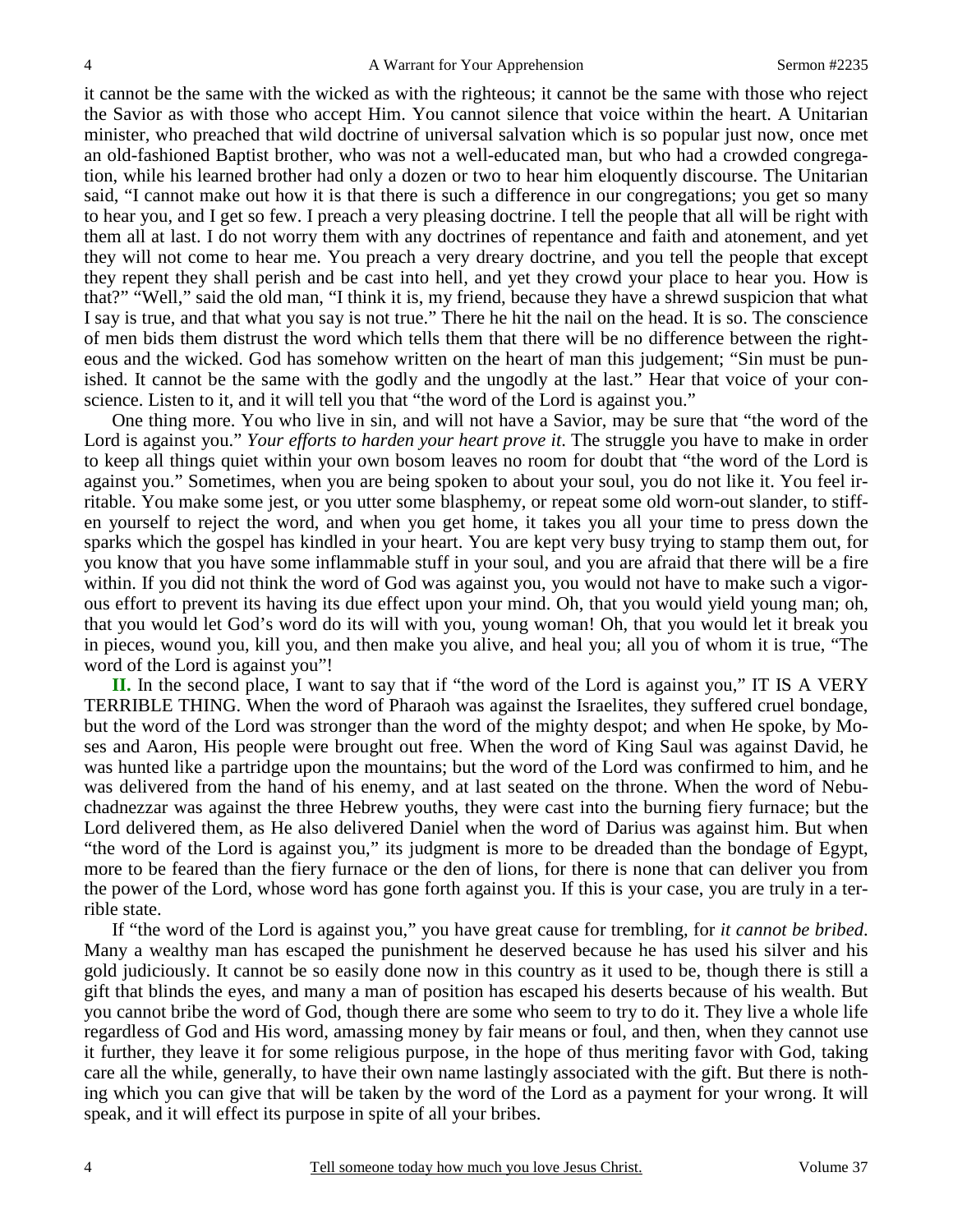it cannot be the same with the wicked as with the righteous; it cannot be the same with those who reject the Savior as with those who accept Him. You cannot silence that voice within the heart. A Unitarian minister, who preached that wild doctrine of universal salvation which is so popular just now, once met an old-fashioned Baptist brother, who was not a well-educated man, but who had a crowded congregation, while his learned brother had only a dozen or two to hear him eloquently discourse. The Unitarian said, "I cannot make out how it is that there is such a difference in our congregations; you get so many to hear you, and I get so few. I preach a very pleasing doctrine. I tell the people that all will be right with them all at last. I do not worry them with any doctrines of repentance and faith and atonement, and yet they will not come to hear me. You preach a very dreary doctrine, and you tell the people that except they repent they shall perish and be cast into hell, and yet they crowd your place to hear you. How is that?" "Well," said the old man, "I think it is, my friend, because they have a shrewd suspicion that what I say is true, and that what you say is not true." There he hit the nail on the head. It is so. The conscience of men bids them distrust the word which tells them that there will be no difference between the righteous and the wicked. God has somehow written on the heart of man this judgement; "Sin must be punished. It cannot be the same with the godly and the ungodly at the last." Hear that voice of your conscience. Listen to it, and it will tell you that "the word of the Lord is against you."

 One thing more. You who live in sin, and will not have a Savior, may be sure that "the word of the Lord is against you." *Your efforts to harden your heart prove it*. The struggle you have to make in order to keep all things quiet within your own bosom leaves no room for doubt that "the word of the Lord is against you." Sometimes, when you are being spoken to about your soul, you do not like it. You feel irritable. You make some jest, or you utter some blasphemy, or repeat some old worn-out slander, to stiffen yourself to reject the word, and when you get home, it takes you all your time to press down the sparks which the gospel has kindled in your heart. You are kept very busy trying to stamp them out, for you know that you have some inflammable stuff in your soul, and you are afraid that there will be a fire within. If you did not think the word of God was against you, you would not have to make such a vigorous effort to prevent its having its due effect upon your mind. Oh, that you would yield young man; oh, that you would let God's word do its will with you, young woman! Oh, that you would let it break you in pieces, wound you, kill you, and then make you alive, and heal you; all you of whom it is true, "The word of the Lord is against you"!

**II.** In the second place, I want to say that if "the word of the Lord is against you," IT IS A VERY TERRIBLE THING. When the word of Pharaoh was against the Israelites, they suffered cruel bondage, but the word of the Lord was stronger than the word of the mighty despot; and when He spoke, by Moses and Aaron, His people were brought out free. When the word of King Saul was against David, he was hunted like a partridge upon the mountains; but the word of the Lord was confirmed to him, and he was delivered from the hand of his enemy, and at last seated on the throne. When the word of Nebuchadnezzar was against the three Hebrew youths, they were cast into the burning fiery furnace; but the Lord delivered them, as He also delivered Daniel when the word of Darius was against him. But when "the word of the Lord is against you," its judgment is more to be dreaded than the bondage of Egypt, more to be feared than the fiery furnace or the den of lions, for there is none that can deliver you from the power of the Lord, whose word has gone forth against you. If this is your case, you are truly in a terrible state.

 If "the word of the Lord is against you," you have great cause for trembling, for *it cannot be bribed*. Many a wealthy man has escaped the punishment he deserved because he has used his silver and his gold judiciously. It cannot be so easily done now in this country as it used to be, though there is still a gift that blinds the eyes, and many a man of position has escaped his deserts because of his wealth. But you cannot bribe the word of God, though there are some who seem to try to do it. They live a whole life regardless of God and His word, amassing money by fair means or foul, and then, when they cannot use it further, they leave it for some religious purpose, in the hope of thus meriting favor with God, taking care all the while, generally, to have their own name lastingly associated with the gift. But there is nothing which you can give that will be taken by the word of the Lord as a payment for your wrong. It will speak, and it will effect its purpose in spite of all your bribes.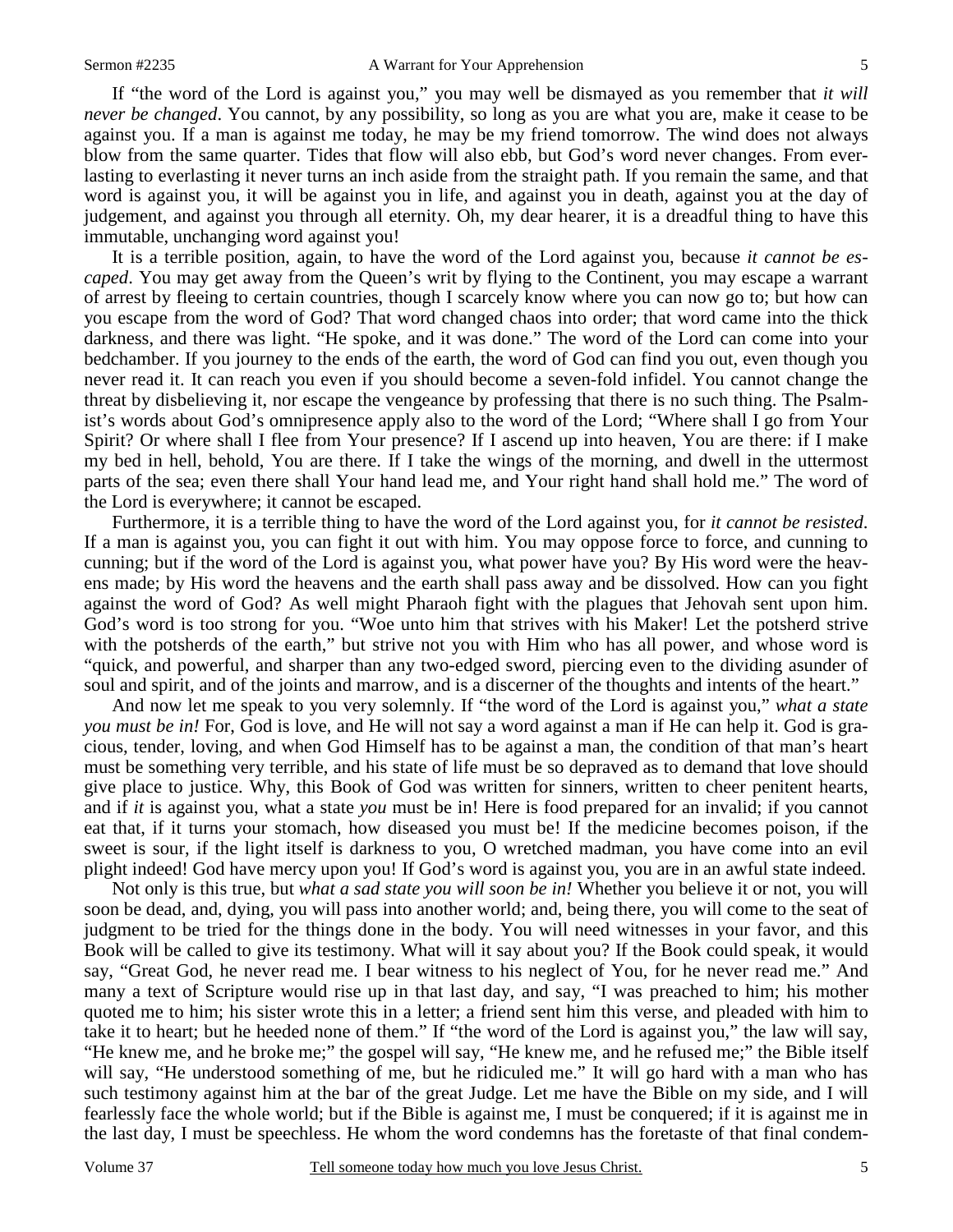If "the word of the Lord is against you," you may well be dismayed as you remember that *it will never be changed*. You cannot, by any possibility, so long as you are what you are, make it cease to be against you. If a man is against me today, he may be my friend tomorrow. The wind does not always blow from the same quarter. Tides that flow will also ebb, but God's word never changes. From everlasting to everlasting it never turns an inch aside from the straight path. If you remain the same, and that word is against you, it will be against you in life, and against you in death, against you at the day of judgement, and against you through all eternity. Oh, my dear hearer, it is a dreadful thing to have this immutable, unchanging word against you!

 It is a terrible position, again, to have the word of the Lord against you, because *it cannot be escaped*. You may get away from the Queen's writ by flying to the Continent, you may escape a warrant of arrest by fleeing to certain countries, though I scarcely know where you can now go to; but how can you escape from the word of God? That word changed chaos into order; that word came into the thick darkness, and there was light. "He spoke, and it was done." The word of the Lord can come into your bedchamber. If you journey to the ends of the earth, the word of God can find you out, even though you never read it. It can reach you even if you should become a seven-fold infidel. You cannot change the threat by disbelieving it, nor escape the vengeance by professing that there is no such thing. The Psalmist's words about God's omnipresence apply also to the word of the Lord; "Where shall I go from Your Spirit? Or where shall I flee from Your presence? If I ascend up into heaven, You are there: if I make my bed in hell, behold, You are there. If I take the wings of the morning, and dwell in the uttermost parts of the sea; even there shall Your hand lead me, and Your right hand shall hold me." The word of the Lord is everywhere; it cannot be escaped.

 Furthermore, it is a terrible thing to have the word of the Lord against you, for *it cannot be resisted*. If a man is against you, you can fight it out with him. You may oppose force to force, and cunning to cunning; but if the word of the Lord is against you, what power have you? By His word were the heavens made; by His word the heavens and the earth shall pass away and be dissolved. How can you fight against the word of God? As well might Pharaoh fight with the plagues that Jehovah sent upon him. God's word is too strong for you. "Woe unto him that strives with his Maker! Let the potsherd strive with the potsherds of the earth," but strive not you with Him who has all power, and whose word is "quick, and powerful, and sharper than any two-edged sword, piercing even to the dividing asunder of soul and spirit, and of the joints and marrow, and is a discerner of the thoughts and intents of the heart."

 And now let me speak to you very solemnly. If "the word of the Lord is against you," *what a state you must be in!* For, God is love, and He will not say a word against a man if He can help it. God is gracious, tender, loving, and when God Himself has to be against a man, the condition of that man's heart must be something very terrible, and his state of life must be so depraved as to demand that love should give place to justice. Why, this Book of God was written for sinners, written to cheer penitent hearts, and if *it* is against you, what a state *you* must be in! Here is food prepared for an invalid; if you cannot eat that, if it turns your stomach, how diseased you must be! If the medicine becomes poison, if the sweet is sour, if the light itself is darkness to you, O wretched madman, you have come into an evil plight indeed! God have mercy upon you! If God's word is against you, you are in an awful state indeed.

 Not only is this true, but *what a sad state you will soon be in!* Whether you believe it or not, you will soon be dead, and, dying, you will pass into another world; and, being there, you will come to the seat of judgment to be tried for the things done in the body. You will need witnesses in your favor, and this Book will be called to give its testimony. What will it say about you? If the Book could speak, it would say, "Great God, he never read me. I bear witness to his neglect of You, for he never read me." And many a text of Scripture would rise up in that last day, and say, "I was preached to him; his mother quoted me to him; his sister wrote this in a letter; a friend sent him this verse, and pleaded with him to take it to heart; but he heeded none of them." If "the word of the Lord is against you," the law will say, "He knew me, and he broke me;" the gospel will say, "He knew me, and he refused me;" the Bible itself will say, "He understood something of me, but he ridiculed me." It will go hard with a man who has such testimony against him at the bar of the great Judge. Let me have the Bible on my side, and I will fearlessly face the whole world; but if the Bible is against me, I must be conquered; if it is against me in the last day, I must be speechless. He whom the word condemns has the foretaste of that final condem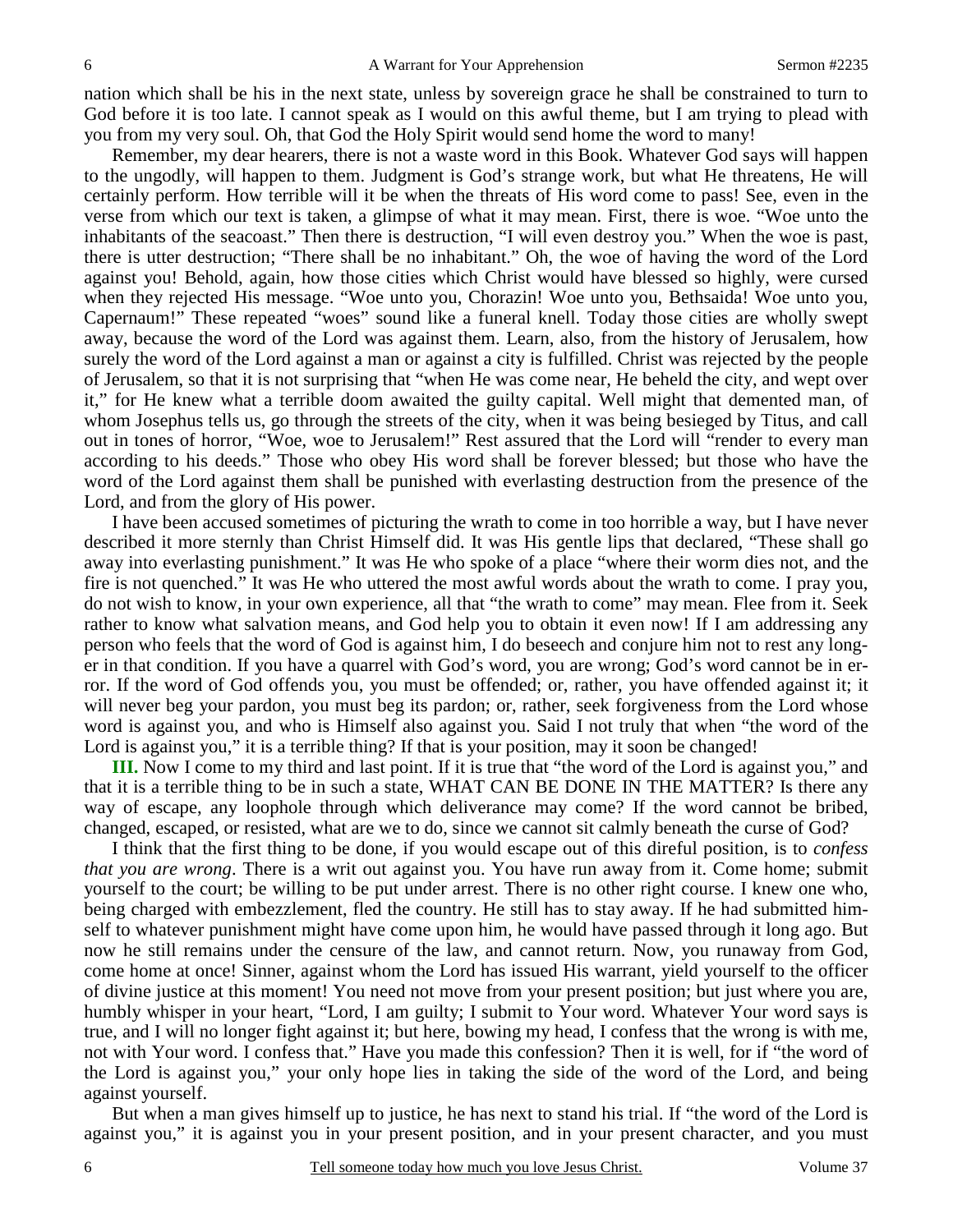nation which shall be his in the next state, unless by sovereign grace he shall be constrained to turn to God before it is too late. I cannot speak as I would on this awful theme, but I am trying to plead with you from my very soul. Oh, that God the Holy Spirit would send home the word to many!

 Remember, my dear hearers, there is not a waste word in this Book. Whatever God says will happen to the ungodly, will happen to them. Judgment is God's strange work, but what He threatens, He will certainly perform. How terrible will it be when the threats of His word come to pass! See, even in the verse from which our text is taken, a glimpse of what it may mean. First, there is woe. "Woe unto the inhabitants of the seacoast." Then there is destruction, "I will even destroy you." When the woe is past, there is utter destruction; "There shall be no inhabitant." Oh, the woe of having the word of the Lord against you! Behold, again, how those cities which Christ would have blessed so highly, were cursed when they rejected His message. "Woe unto you, Chorazin! Woe unto you, Bethsaida! Woe unto you, Capernaum!" These repeated "woes" sound like a funeral knell. Today those cities are wholly swept away, because the word of the Lord was against them. Learn, also, from the history of Jerusalem, how surely the word of the Lord against a man or against a city is fulfilled. Christ was rejected by the people of Jerusalem, so that it is not surprising that "when He was come near, He beheld the city, and wept over it," for He knew what a terrible doom awaited the guilty capital. Well might that demented man, of whom Josephus tells us, go through the streets of the city, when it was being besieged by Titus, and call out in tones of horror, "Woe, woe to Jerusalem!" Rest assured that the Lord will "render to every man according to his deeds." Those who obey His word shall be forever blessed; but those who have the word of the Lord against them shall be punished with everlasting destruction from the presence of the Lord, and from the glory of His power.

 I have been accused sometimes of picturing the wrath to come in too horrible a way, but I have never described it more sternly than Christ Himself did. It was His gentle lips that declared, "These shall go away into everlasting punishment." It was He who spoke of a place "where their worm dies not, and the fire is not quenched." It was He who uttered the most awful words about the wrath to come. I pray you, do not wish to know, in your own experience, all that "the wrath to come" may mean. Flee from it. Seek rather to know what salvation means, and God help you to obtain it even now! If I am addressing any person who feels that the word of God is against him, I do beseech and conjure him not to rest any longer in that condition. If you have a quarrel with God's word, you are wrong; God's word cannot be in error. If the word of God offends you, you must be offended; or, rather, you have offended against it; it will never beg your pardon, you must beg its pardon; or, rather, seek forgiveness from the Lord whose word is against you, and who is Himself also against you. Said I not truly that when "the word of the Lord is against you," it is a terrible thing? If that is your position, may it soon be changed!

**III.** Now I come to my third and last point. If it is true that "the word of the Lord is against you," and that it is a terrible thing to be in such a state, WHAT CAN BE DONE IN THE MATTER? Is there any way of escape, any loophole through which deliverance may come? If the word cannot be bribed, changed, escaped, or resisted, what are we to do, since we cannot sit calmly beneath the curse of God?

 I think that the first thing to be done, if you would escape out of this direful position, is to *confess that you are wrong*. There is a writ out against you. You have run away from it. Come home; submit yourself to the court; be willing to be put under arrest. There is no other right course. I knew one who, being charged with embezzlement, fled the country. He still has to stay away. If he had submitted himself to whatever punishment might have come upon him, he would have passed through it long ago. But now he still remains under the censure of the law, and cannot return. Now, you runaway from God, come home at once! Sinner, against whom the Lord has issued His warrant, yield yourself to the officer of divine justice at this moment! You need not move from your present position; but just where you are, humbly whisper in your heart, "Lord, I am guilty; I submit to Your word. Whatever Your word says is true, and I will no longer fight against it; but here, bowing my head, I confess that the wrong is with me, not with Your word. I confess that." Have you made this confession? Then it is well, for if "the word of the Lord is against you," your only hope lies in taking the side of the word of the Lord, and being against yourself.

 But when a man gives himself up to justice, he has next to stand his trial. If "the word of the Lord is against you," it is against you in your present position, and in your present character, and you must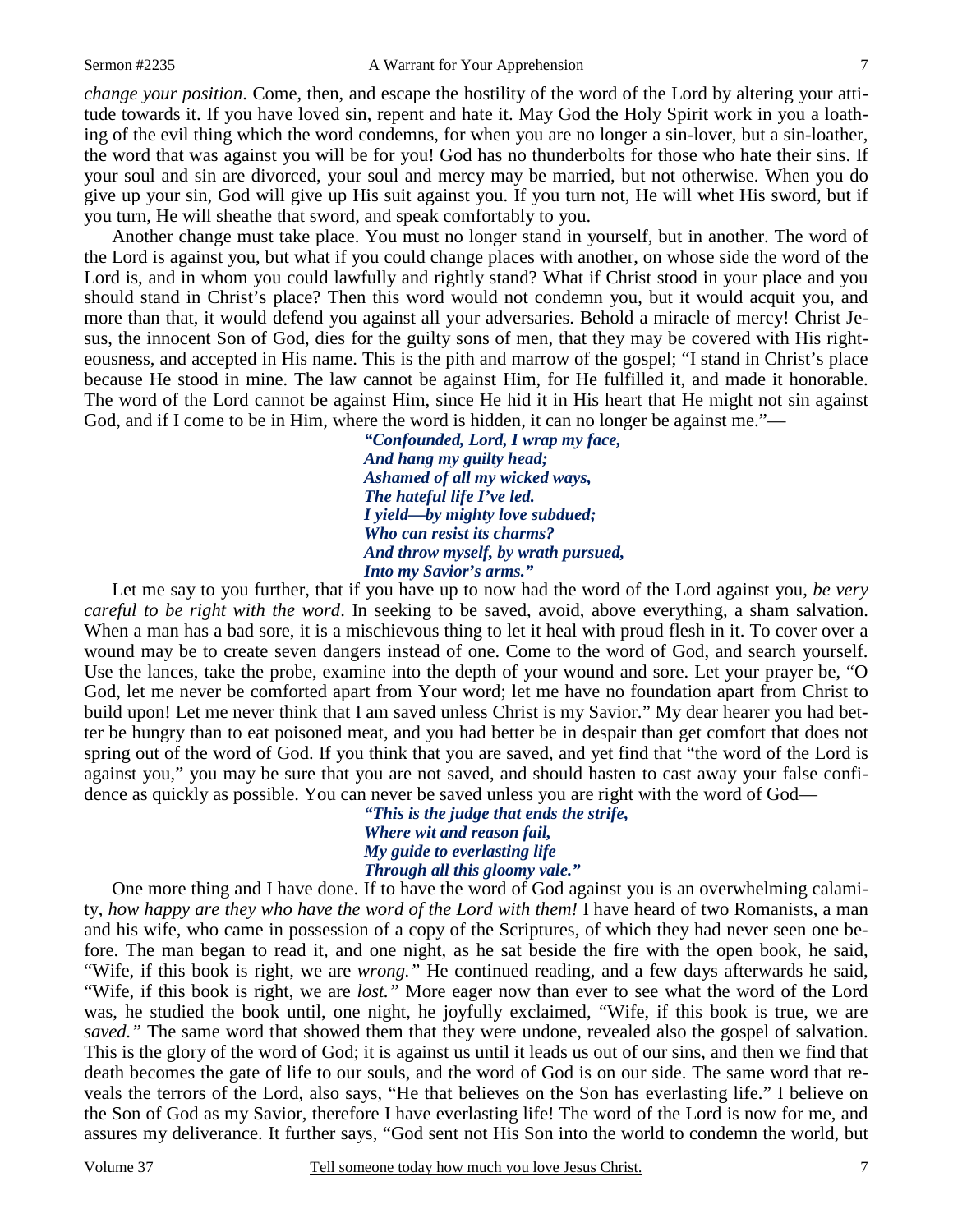*change your position*. Come, then, and escape the hostility of the word of the Lord by altering your attitude towards it. If you have loved sin, repent and hate it. May God the Holy Spirit work in you a loathing of the evil thing which the word condemns, for when you are no longer a sin-lover, but a sin-loather, the word that was against you will be for you! God has no thunderbolts for those who hate their sins. If your soul and sin are divorced, your soul and mercy may be married, but not otherwise. When you do give up your sin, God will give up His suit against you. If you turn not, He will whet His sword, but if you turn, He will sheathe that sword, and speak comfortably to you.

 Another change must take place. You must no longer stand in yourself, but in another. The word of the Lord is against you, but what if you could change places with another, on whose side the word of the Lord is, and in whom you could lawfully and rightly stand? What if Christ stood in your place and you should stand in Christ's place? Then this word would not condemn you, but it would acquit you, and more than that, it would defend you against all your adversaries. Behold a miracle of mercy! Christ Jesus, the innocent Son of God, dies for the guilty sons of men, that they may be covered with His righteousness, and accepted in His name. This is the pith and marrow of the gospel; "I stand in Christ's place because He stood in mine. The law cannot be against Him, for He fulfilled it, and made it honorable. The word of the Lord cannot be against Him, since He hid it in His heart that He might not sin against God, and if I come to be in Him, where the word is hidden, it can no longer be against me."—

> *"Confounded, Lord, I wrap my face, And hang my guilty head; Ashamed of all my wicked ways, The hateful life I've led. I yield—by mighty love subdued; Who can resist its charms? And throw myself, by wrath pursued, Into my Savior's arms."*

Let me say to you further, that if you have up to now had the word of the Lord against you, *be very careful to be right with the word*. In seeking to be saved, avoid, above everything, a sham salvation. When a man has a bad sore, it is a mischievous thing to let it heal with proud flesh in it. To cover over a wound may be to create seven dangers instead of one. Come to the word of God, and search yourself. Use the lances, take the probe, examine into the depth of your wound and sore. Let your prayer be, "O God, let me never be comforted apart from Your word; let me have no foundation apart from Christ to build upon! Let me never think that I am saved unless Christ is my Savior." My dear hearer you had better be hungry than to eat poisoned meat, and you had better be in despair than get comfort that does not spring out of the word of God. If you think that you are saved, and yet find that "the word of the Lord is against you," you may be sure that you are not saved, and should hasten to cast away your false confidence as quickly as possible. You can never be saved unless you are right with the word of God—

> *"This is the judge that ends the strife, Where wit and reason fail, My guide to everlasting life Through all this gloomy vale."*

One more thing and I have done. If to have the word of God against you is an overwhelming calamity, *how happy are they who have the word of the Lord with them!* I have heard of two Romanists, a man and his wife, who came in possession of a copy of the Scriptures, of which they had never seen one before. The man began to read it, and one night, as he sat beside the fire with the open book, he said, "Wife, if this book is right, we are *wrong."* He continued reading, and a few days afterwards he said, "Wife, if this book is right, we are *lost."* More eager now than ever to see what the word of the Lord was, he studied the book until, one night, he joyfully exclaimed, "Wife, if this book is true, we are *saved."* The same word that showed them that they were undone, revealed also the gospel of salvation. This is the glory of the word of God; it is against us until it leads us out of our sins, and then we find that death becomes the gate of life to our souls, and the word of God is on our side. The same word that reveals the terrors of the Lord, also says, "He that believes on the Son has everlasting life." I believe on the Son of God as my Savior, therefore I have everlasting life! The word of the Lord is now for me, and assures my deliverance. It further says, "God sent not His Son into the world to condemn the world, but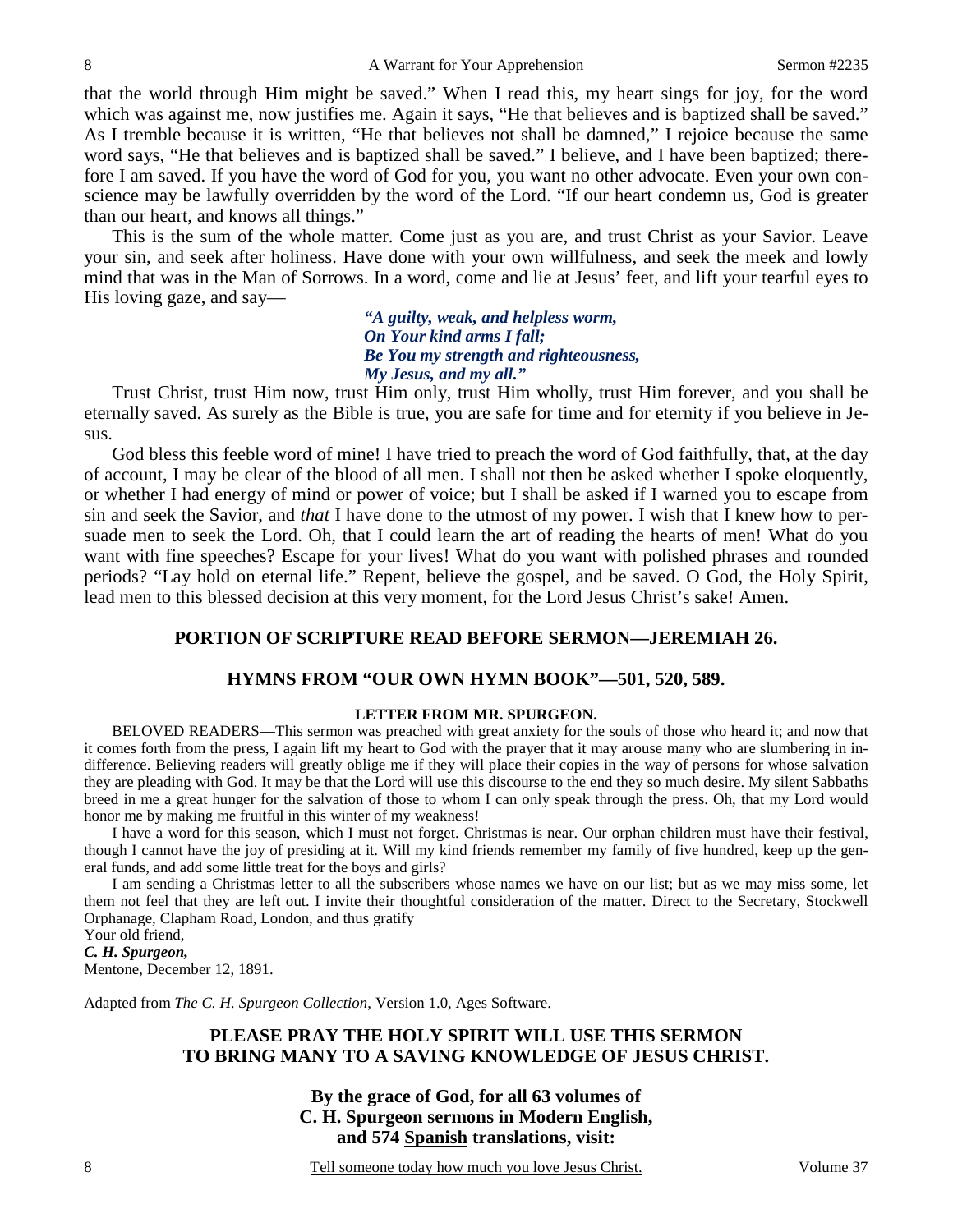that the world through Him might be saved." When I read this, my heart sings for joy, for the word which was against me, now justifies me. Again it says, "He that believes and is baptized shall be saved." As I tremble because it is written, "He that believes not shall be damned," I rejoice because the same word says, "He that believes and is baptized shall be saved." I believe, and I have been baptized; therefore I am saved. If you have the word of God for you, you want no other advocate. Even your own conscience may be lawfully overridden by the word of the Lord. "If our heart condemn us, God is greater than our heart, and knows all things."

 This is the sum of the whole matter. Come just as you are, and trust Christ as your Savior. Leave your sin, and seek after holiness. Have done with your own willfulness, and seek the meek and lowly mind that was in the Man of Sorrows. In a word, come and lie at Jesus' feet, and lift your tearful eyes to His loving gaze, and say—

> *"A guilty, weak, and helpless worm, On Your kind arms I fall; Be You my strength and righteousness, My Jesus, and my all."*

Trust Christ, trust Him now, trust Him only, trust Him wholly, trust Him forever, and you shall be eternally saved. As surely as the Bible is true, you are safe for time and for eternity if you believe in Jesus.

 God bless this feeble word of mine! I have tried to preach the word of God faithfully, that, at the day of account, I may be clear of the blood of all men. I shall not then be asked whether I spoke eloquently, or whether I had energy of mind or power of voice; but I shall be asked if I warned you to escape from sin and seek the Savior, and *that* I have done to the utmost of my power. I wish that I knew how to persuade men to seek the Lord. Oh, that I could learn the art of reading the hearts of men! What do you want with fine speeches? Escape for your lives! What do you want with polished phrases and rounded periods? "Lay hold on eternal life." Repent, believe the gospel, and be saved. O God, the Holy Spirit, lead men to this blessed decision at this very moment, for the Lord Jesus Christ's sake! Amen.

# **PORTION OF SCRIPTURE READ BEFORE SERMON—JEREMIAH 26.**

### **HYMNS FROM "OUR OWN HYMN BOOK"—501, 520, 589.**

#### **LETTER FROM MR. SPURGEON.**

BELOVED READERS—This sermon was preached with great anxiety for the souls of those who heard it; and now that it comes forth from the press, I again lift my heart to God with the prayer that it may arouse many who are slumbering in indifference. Believing readers will greatly oblige me if they will place their copies in the way of persons for whose salvation they are pleading with God. It may be that the Lord will use this discourse to the end they so much desire. My silent Sabbaths breed in me a great hunger for the salvation of those to whom I can only speak through the press. Oh, that my Lord would honor me by making me fruitful in this winter of my weakness!

 I have a word for this season, which I must not forget. Christmas is near. Our orphan children must have their festival, though I cannot have the joy of presiding at it. Will my kind friends remember my family of five hundred, keep up the general funds, and add some little treat for the boys and girls?

 I am sending a Christmas letter to all the subscribers whose names we have on our list; but as we may miss some, let them not feel that they are left out. I invite their thoughtful consideration of the matter. Direct to the Secretary, Stockwell Orphanage, Clapham Road, London, and thus gratify

Your old friend, *C. H. Spurgeon,* 

Mentone, December 12, 1891.

Adapted from *The C. H. Spurgeon Collection*, Version 1.0, Ages Software.

# **PLEASE PRAY THE HOLY SPIRIT WILL USE THIS SERMON TO BRING MANY TO A SAVING KNOWLEDGE OF JESUS CHRIST.**

**By the grace of God, for all 63 volumes of C. H. Spurgeon sermons in Modern English, and 574 Spanish translations, visit:**